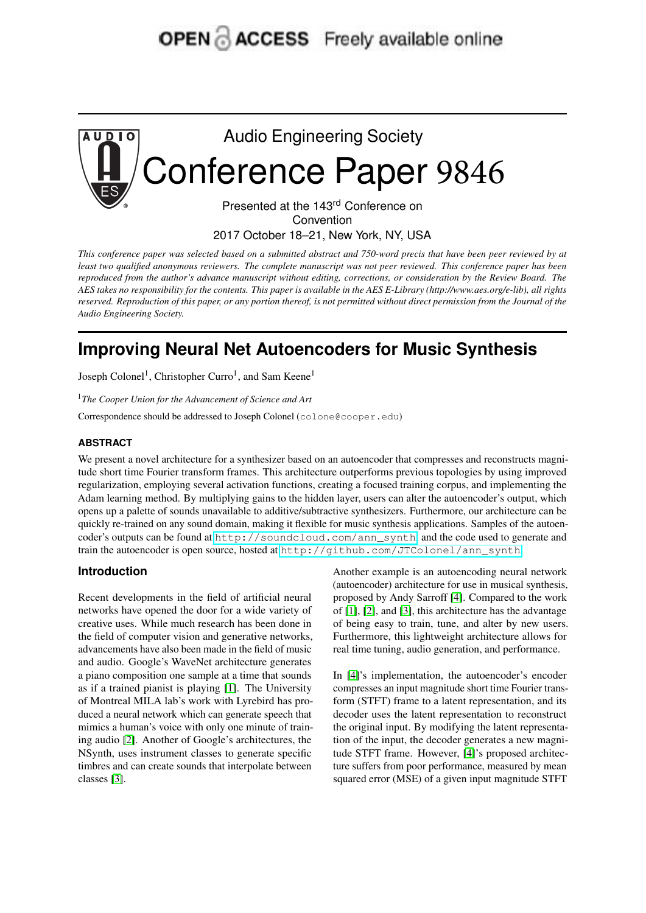# **OPEN ACCESS** Freely available online



Convention

2017 October 18–21, New York, NY, USA

This conference paper was selected based on a submitted abstract and 750-word precis that have been peer reviewed by at least two qualified anonymous reviewers. The complete manuscript was not peer reviewed. This conference paper has been reproduced from the author's advance manuscript without editing, corrections, or consideration by the Review Board. The AES takes no responsibility for the contents. This paper is available in the AES E-Library (http://www.aes.org/e-lib), all rights reserved. Reproduction of this paper, or any portion thereof, is not permitted without direct permission from the Journal of the *Audio Engineering Society.*

# **Improving Neural Net Autoencoders for Music Synthesis**

Joseph Colonel<sup>1</sup>, Christopher Curro<sup>1</sup>, and Sam Keene<sup>1</sup>

<sup>1</sup>*The Cooper Union for the Advancement of Science and Art*

Correspondence should be addressed to Joseph Colonel (colone@cooper.edu)

#### **ABSTRACT**

We present a novel architecture for a synthesizer based on an autoencoder that compresses and reconstructs magnitude short time Fourier transform frames. This architecture outperforms previous topologies by using improved regularization, employing several activation functions, creating a focused training corpus, and implementing the Adam learning method. By multiplying gains to the hidden layer, users can alter the autoencoder's output, which opens up a palette of sounds unavailable to additive/subtractive synthesizers. Furthermore, our architecture can be quickly re-trained on any sound domain, making it flexible for music synthesis applications. Samples of the autoencoder's outputs can be found at [http://soundcloud.com/ann\\_synth](http://soundcloud.com/ann_synth), and the code used to generate and train the autoencoder is open source, hosted at [http://github.com/JTColonel/ann\\_synth](http://github.com/JTColonel/ann_synth).

#### **Introduction**

Recent developments in the field of artificial neural networks have opened the door for a wide variety of creative uses. While much research has been done in the field of computer vision and generative networks, advancements have also been made in the field of music and audio. Google's WaveNet architecture generates a piano composition one sample at a time that sounds as if a trained pianist is playing [\[1\]](#page-4-0). The University of Montreal MILA lab's work with Lyrebird has produced a neural network which can generate speech that mimics a human's voice with only one minute of training audio [\[2\]](#page-4-1). Another of Google's architectures, the NSynth, uses instrument classes to generate specific timbres and can create sounds that interpolate between classes [\[3\]](#page-4-2).

Another example is an autoencoding neural network (autoencoder) architecture for use in musical synthesis, proposed by Andy Sarroff [\[4\]](#page-4-3). Compared to the work of [\[1\]](#page-4-0), [\[2\]](#page-4-1), and [\[3\]](#page-4-2), this architecture has the advantage of being easy to train, tune, and alter by new users. Furthermore, this lightweight architecture allows for real time tuning, audio generation, and performance.

In [\[4\]](#page-4-3)'s implementation, the autoencoder's encoder compresses an input magnitude short time Fourier transform (STFT) frame to a latent representation, and its decoder uses the latent representation to reconstruct the original input. By modifying the latent representation of the input, the decoder generates a new magnitude STFT frame. However, [\[4\]](#page-4-3)'s proposed architecture suffers from poor performance, measured by mean squared error (MSE) of a given input magnitude STFT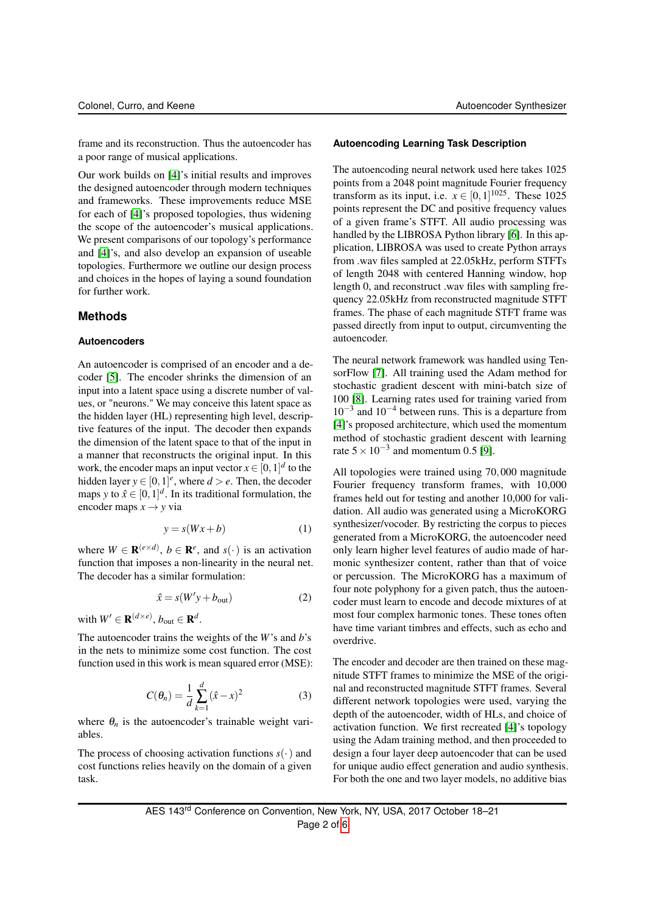frame and its reconstruction. Thus the autoencoder has a poor range of musical applications.

Our work builds on [\[4\]](#page-4-3)'s initial results and improves the designed autoencoder through modern techniques and frameworks. These improvements reduce MSE for each of [\[4\]](#page-4-3)'s proposed topologies, thus widening the scope of the autoencoder's musical applications. We present comparisons of our topology's performance and [\[4\]](#page-4-3)'s, and also develop an expansion of useable topologies. Furthermore we outline our design process and choices in the hopes of laying a sound foundation for further work.

#### **Methods**

#### **Autoencoders**

An autoencoder is comprised of an encoder and a decoder [\[5\]](#page-4-4). The encoder shrinks the dimension of an input into a latent space using a discrete number of values, or "neurons." We may conceive this latent space as the hidden layer (HL) representing high level, descriptive features of the input. The decoder then expands the dimension of the latent space to that of the input in a manner that reconstructs the original input. In this work, the encoder maps an input vector  $x \in [0, 1]^d$  to the hidden layer  $y \in [0, 1]^e$ , where  $d > e$ . Then, the decoder maps *y* to  $\hat{x} \in [0,1]^d$ . In its traditional formulation, the encoder maps  $x \rightarrow y$  via

$$
y = s(Wx + b)
$$
 (1)

where  $W \in \mathbf{R}^{(e \times d)}$ ,  $b \in \mathbf{R}^e$ , and  $s(\cdot)$  is an activation function that imposes a non-linearity in the neural net. The decoder has a similar formulation:

$$
\hat{x} = s(W'y + b_{\text{out}}) \tag{2}
$$

with  $W' \in \mathbf{R}^{(d \times e)}$ ,  $b_{\text{out}} \in \mathbf{R}^d$ .

The autoencoder trains the weights of the *W*'s and *b*'s in the nets to minimize some cost function. The cost function used in this work is mean squared error (MSE):

$$
C(\theta_n) = \frac{1}{d} \sum_{k=1}^{d} (\hat{x} - x)^2
$$
 (3)

where  $\theta_n$  is the autoencoder's trainable weight variables.

The process of choosing activation functions  $s(\cdot)$  and cost functions relies heavily on the domain of a given task.

#### **Autoencoding Learning Task Description**

The autoencoding neural network used here takes 1025 points from a 2048 point magnitude Fourier frequency transform as its input, i.e.  $x \in [0,1]^{1025}$ . These 1025 points represent the DC and positive frequency values of a given frame's STFT. All audio processing was handled by the LIBROSA Python library [\[6\]](#page-4-5). In this application, LIBROSA was used to create Python arrays from .wav files sampled at 22.05kHz, perform STFTs of length 2048 with centered Hanning window, hop length 0, and reconstruct .wav files with sampling frequency 22.05kHz from reconstructed magnitude STFT frames. The phase of each magnitude STFT frame was passed directly from input to output, circumventing the autoencoder.

The neural network framework was handled using TensorFlow [\[7\]](#page-4-6). All training used the Adam method for stochastic gradient descent with mini-batch size of 100 [\[8\]](#page-4-7). Learning rates used for training varied from 10−<sup>3</sup> and 10−<sup>4</sup> between runs. This is a departure from [\[4\]](#page-4-3)'s proposed architecture, which used the momentum method of stochastic gradient descent with learning rate  $5 \times 10^{-3}$  and momentum 0.5 [\[9\]](#page-4-8).

All topologies were trained using 70,000 magnitude Fourier frequency transform frames, with 10,000 frames held out for testing and another 10,000 for validation. All audio was generated using a MicroKORG synthesizer/vocoder. By restricting the corpus to pieces generated from a MicroKORG, the autoencoder need only learn higher level features of audio made of harmonic synthesizer content, rather than that of voice or percussion. The MicroKORG has a maximum of four note polyphony for a given patch, thus the autoencoder must learn to encode and decode mixtures of at most four complex harmonic tones. These tones often have time variant timbres and effects, such as echo and overdrive.

The encoder and decoder are then trained on these magnitude STFT frames to minimize the MSE of the original and reconstructed magnitude STFT frames. Several different network topologies were used, varying the depth of the autoencoder, width of HLs, and choice of activation function. We first recreated [\[4\]](#page-4-3)'s topology using the Adam training method, and then proceeded to design a four layer deep autoencoder that can be used for unique audio effect generation and audio synthesis. For both the one and two layer models, no additive bias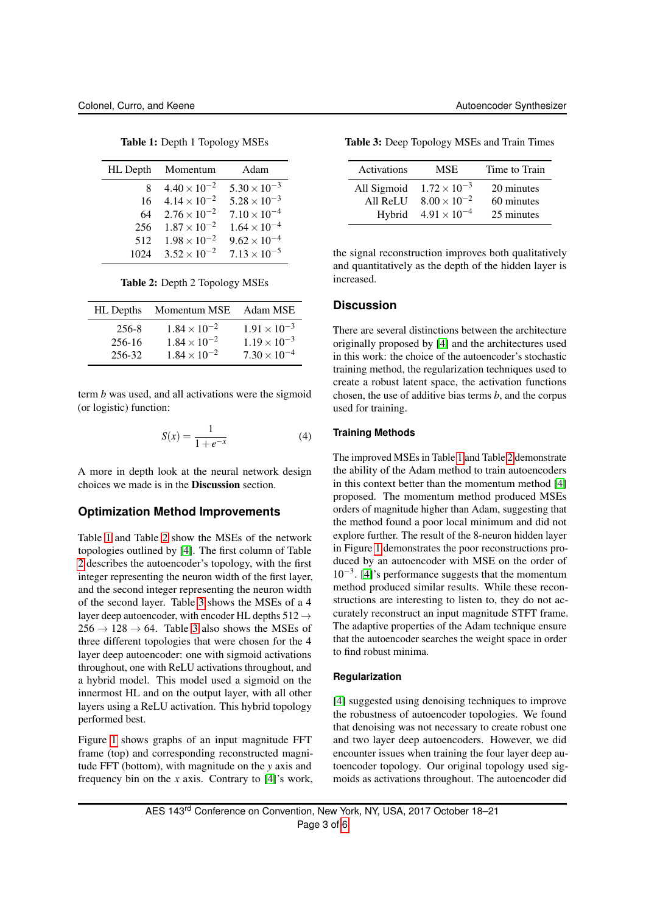<span id="page-2-0"></span>

|     | HL Depth Momentum              | Adam                  |
|-----|--------------------------------|-----------------------|
| 8.  | $4.40 \times 10^{-2}$          | $5.30 \times 10^{-3}$ |
|     | $16 \quad 4.14 \times 10^{-2}$ | $5.28 \times 10^{-3}$ |
| 64  | $2.76 \times 10^{-2}$          | $7.10 \times 10^{-4}$ |
|     | 256 $1.87 \times 10^{-2}$      | $1.64 \times 10^{-4}$ |
| 512 | $1.98 \times 10^{-2}$          | $9.62 \times 10^{-4}$ |
|     | $1024$ $3.52 \times 10^{-2}$   | $7.13 \times 10^{-5}$ |

Table 1: Depth 1 Topology MSEs

Table 2: Depth 2 Topology MSEs

<span id="page-2-1"></span>

| HL Depths       | Momentum MSE                                   | Adam MSE                                       |
|-----------------|------------------------------------------------|------------------------------------------------|
| 256-8<br>256-16 | $1.84 \times 10^{-2}$<br>$1.84 \times 10^{-2}$ | $1.91 \times 10^{-3}$<br>$1.19 \times 10^{-3}$ |
| 256-32          | $1.84 \times 10^{-2}$                          | $7.30 \times 10^{-4}$                          |

term *b* was used, and all activations were the sigmoid (or logistic) function:

$$
S(x) = \frac{1}{1 + e^{-x}}\tag{4}
$$

A more in depth look at the neural network design choices we made is in the Discussion section.

# **Optimization Method Improvements**

Table [1](#page-2-0) and Table [2](#page-2-1) show the MSEs of the network topologies outlined by [\[4\]](#page-4-3). The first column of Table [2](#page-2-1) describes the autoencoder's topology, with the first integer representing the neuron width of the first layer, and the second integer representing the neuron width of the second layer. Table [3](#page-2-2) shows the MSEs of a 4 layer deep autoencoder, with encoder HL depths  $512 \rightarrow$  $256 \rightarrow 128 \rightarrow 64$ . Table [3](#page-2-2) also shows the MSEs of three different topologies that were chosen for the 4 layer deep autoencoder: one with sigmoid activations throughout, one with ReLU activations throughout, and a hybrid model. This model used a sigmoid on the innermost HL and on the output layer, with all other layers using a ReLU activation. This hybrid topology performed best.

Figure [1](#page-3-0) shows graphs of an input magnitude FFT frame (top) and corresponding reconstructed magnitude FFT (bottom), with magnitude on the *y* axis and frequency bin on the *x* axis. Contrary to [\[4\]](#page-4-3)'s work,

<span id="page-2-2"></span>

| Table 3: Deep Topology MSEs and Train Times |  |  |  |
|---------------------------------------------|--|--|--|
|---------------------------------------------|--|--|--|

| Activations | MSE                   | Time to Train |
|-------------|-----------------------|---------------|
| All Sigmoid | $1.72 \times 10^{-3}$ | 20 minutes    |
| All ReLU    | $8.00 \times 10^{-2}$ | 60 minutes    |
| Hybrid      | $4.91 \times 10^{-4}$ | 25 minutes    |

the signal reconstruction improves both qualitatively and quantitatively as the depth of the hidden layer is increased.

# **Discussion**

There are several distinctions between the architecture originally proposed by [\[4\]](#page-4-3) and the architectures used in this work: the choice of the autoencoder's stochastic training method, the regularization techniques used to create a robust latent space, the activation functions chosen, the use of additive bias terms *b*, and the corpus used for training.

## **Training Methods**

The improved MSEs in Table [1](#page-2-0) and Table [2](#page-2-1) demonstrate the ability of the Adam method to train autoencoders in this context better than the momentum method [\[4\]](#page-4-3) proposed. The momentum method produced MSEs orders of magnitude higher than Adam, suggesting that the method found a poor local minimum and did not explore further. The result of the 8-neuron hidden layer in Figure [1](#page-3-0) demonstrates the poor reconstructions produced by an autoencoder with MSE on the order of 10−<sup>3</sup> . [\[4\]](#page-4-3)'s performance suggests that the momentum method produced similar results. While these reconstructions are interesting to listen to, they do not accurately reconstruct an input magnitude STFT frame. The adaptive properties of the Adam technique ensure that the autoencoder searches the weight space in order to find robust minima.

#### **Regularization**

[\[4\]](#page-4-3) suggested using denoising techniques to improve the robustness of autoencoder topologies. We found that denoising was not necessary to create robust one and two layer deep autoencoders. However, we did encounter issues when training the four layer deep autoencoder topology. Our original topology used sigmoids as activations throughout. The autoencoder did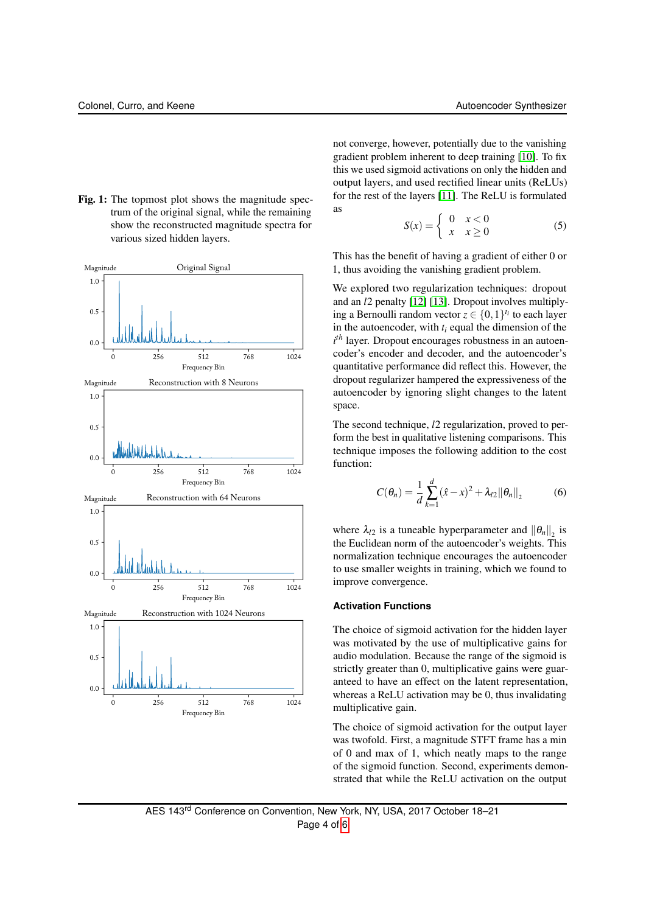<span id="page-3-0"></span>Fig. 1: The topmost plot shows the magnitude spectrum of the original signal, while the remaining show the reconstructed magnitude spectra for various sized hidden layers.



not converge, however, potentially due to the vanishing gradient problem inherent to deep training [\[10\]](#page-5-1). To fix this we used sigmoid activations on only the hidden and output layers, and used rectified linear units (ReLUs) for the rest of the layers [\[11\]](#page-5-2). The ReLU is formulated as

$$
S(x) = \begin{cases} 0 & x < 0 \\ x & x \ge 0 \end{cases} \tag{5}
$$

This has the benefit of having a gradient of either 0 or 1, thus avoiding the vanishing gradient problem.

We explored two regularization techniques: dropout and an *l*2 penalty [\[12\]](#page-5-3) [\[13\]](#page-5-4). Dropout involves multiplying a Bernoulli random vector  $z \in \{0, 1\}^{t_i}$  to each layer in the autoencoder, with  $t_i$  equal the dimension of the  $i<sup>th</sup>$  layer. Dropout encourages robustness in an autoencoder's encoder and decoder, and the autoencoder's quantitative performance did reflect this. However, the dropout regularizer hampered the expressiveness of the autoencoder by ignoring slight changes to the latent space.

The second technique, *l*2 regularization, proved to perform the best in qualitative listening comparisons. This technique imposes the following addition to the cost function:

$$
C(\theta_n) = \frac{1}{d} \sum_{k=1}^{d} (\hat{x} - x)^2 + \lambda_{l2} ||\theta_n||_2
$$
 (6)

where  $\lambda_{l2}$  is a tuneable hyperparameter and  $\|\theta_n\|_2$  is the Euclidean norm of the autoencoder's weights. This normalization technique encourages the autoencoder to use smaller weights in training, which we found to improve convergence.

### **Activation Functions**

The choice of sigmoid activation for the hidden layer was motivated by the use of multiplicative gains for audio modulation. Because the range of the sigmoid is strictly greater than 0, multiplicative gains were guaranteed to have an effect on the latent representation, whereas a ReLU activation may be 0, thus invalidating multiplicative gain.

The choice of sigmoid activation for the output layer was twofold. First, a magnitude STFT frame has a min of 0 and max of 1, which neatly maps to the range of the sigmoid function. Second, experiments demonstrated that while the ReLU activation on the output

AES 143rd Conference on Convention, New York, NY, USA, 2017 October 18–21 Page 4 of [6](#page-5-0)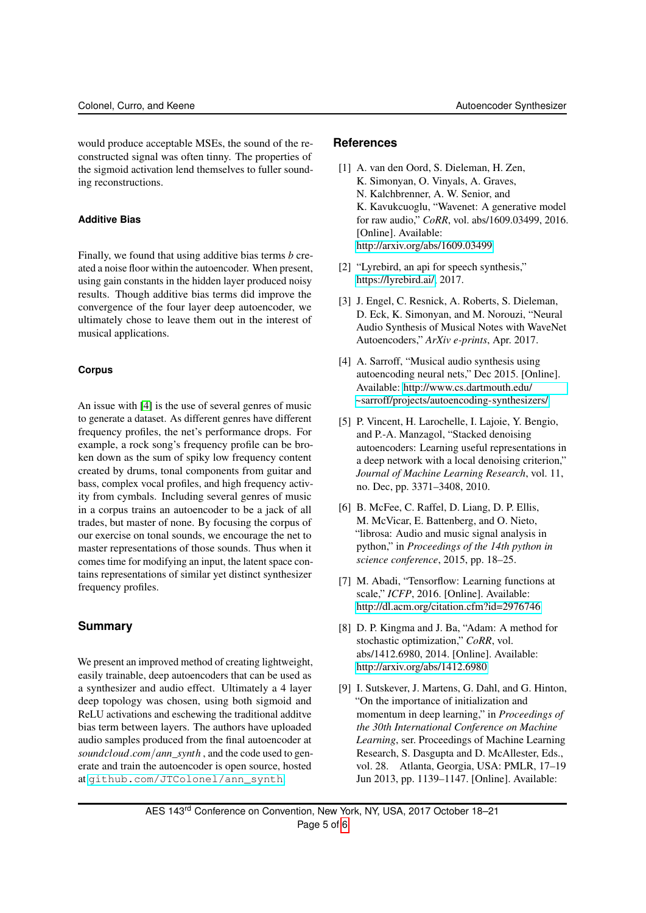would produce acceptable MSEs, the sound of the reconstructed signal was often tinny. The properties of the sigmoid activation lend themselves to fuller sounding reconstructions.

# **Additive Bias**

Finally, we found that using additive bias terms *b* created a noise floor within the autoencoder. When present, using gain constants in the hidden layer produced noisy results. Though additive bias terms did improve the convergence of the four layer deep autoencoder, we ultimately chose to leave them out in the interest of musical applications.

# **Corpus**

An issue with [\[4\]](#page-4-3) is the use of several genres of music to generate a dataset. As different genres have different frequency profiles, the net's performance drops. For example, a rock song's frequency profile can be broken down as the sum of spiky low frequency content created by drums, tonal components from guitar and bass, complex vocal profiles, and high frequency activity from cymbals. Including several genres of music in a corpus trains an autoencoder to be a jack of all trades, but master of none. By focusing the corpus of our exercise on tonal sounds, we encourage the net to master representations of those sounds. Thus when it comes time for modifying an input, the latent space contains representations of similar yet distinct synthesizer frequency profiles.

# **Summary**

We present an improved method of creating lightweight, easily trainable, deep autoencoders that can be used as a synthesizer and audio effect. Ultimately a 4 layer deep topology was chosen, using both sigmoid and ReLU activations and eschewing the traditional additve bias term between layers. The authors have uploaded audio samples produced from the final autoencoder at *soundcloud*.*com*/*ann*\_*synth* , and the code used to generate and train the autoencoder is open source, hosted at [github.com/JTColonel/ann\\_synth](github.com/JTColonel/ann_synth).

# **References**

- <span id="page-4-0"></span>[1] A. van den Oord, S. Dieleman, H. Zen, K. Simonyan, O. Vinyals, A. Graves, N. Kalchbrenner, A. W. Senior, and K. Kavukcuoglu, "Wavenet: A generative model for raw audio," *CoRR*, vol. abs/1609.03499, 2016. [Online]. Available: <http://arxiv.org/abs/1609.03499>
- <span id="page-4-1"></span>[2] "Lyrebird, an api for speech synthesis," [https://lyrebird.ai/,](https://lyrebird.ai/) 2017.
- <span id="page-4-2"></span>[3] J. Engel, C. Resnick, A. Roberts, S. Dieleman, D. Eck, K. Simonyan, and M. Norouzi, "Neural Audio Synthesis of Musical Notes with WaveNet Autoencoders," *ArXiv e-prints*, Apr. 2017.
- <span id="page-4-3"></span>[4] A. Sarroff, "Musical audio synthesis using autoencoding neural nets," Dec 2015. [Online]. Available: [http://www.cs.dartmouth.edu/](http://www.cs.dartmouth.edu/~sarroff/projects/autoencoding-synthesizers/) [~sarroff/projects/autoencoding-synthesizers/](http://www.cs.dartmouth.edu/~sarroff/projects/autoencoding-synthesizers/)
- <span id="page-4-4"></span>[5] P. Vincent, H. Larochelle, I. Lajoie, Y. Bengio, and P.-A. Manzagol, "Stacked denoising autoencoders: Learning useful representations in a deep network with a local denoising criterion," *Journal of Machine Learning Research*, vol. 11, no. Dec, pp. 3371–3408, 2010.
- <span id="page-4-5"></span>[6] B. McFee, C. Raffel, D. Liang, D. P. Ellis, M. McVicar, E. Battenberg, and O. Nieto, "librosa: Audio and music signal analysis in python," in *Proceedings of the 14th python in science conference*, 2015, pp. 18–25.
- <span id="page-4-6"></span>[7] M. Abadi, "Tensorflow: Learning functions at scale," *ICFP*, 2016. [Online]. Available: <http://dl.acm.org/citation.cfm?id=2976746>
- <span id="page-4-7"></span>[8] D. P. Kingma and J. Ba, "Adam: A method for stochastic optimization," *CoRR*, vol. abs/1412.6980, 2014. [Online]. Available: <http://arxiv.org/abs/1412.6980>
- <span id="page-4-8"></span>[9] I. Sutskever, J. Martens, G. Dahl, and G. Hinton, "On the importance of initialization and momentum in deep learning," in *Proceedings of the 30th International Conference on Machine Learning*, ser. Proceedings of Machine Learning Research, S. Dasgupta and D. McAllester, Eds., vol. 28. Atlanta, Georgia, USA: PMLR, 17–19 Jun 2013, pp. 1139–1147. [Online]. Available:

AES 143rd Conference on Convention, New York, NY, USA, 2017 October 18–21 Page 5 of [6](#page-5-0)